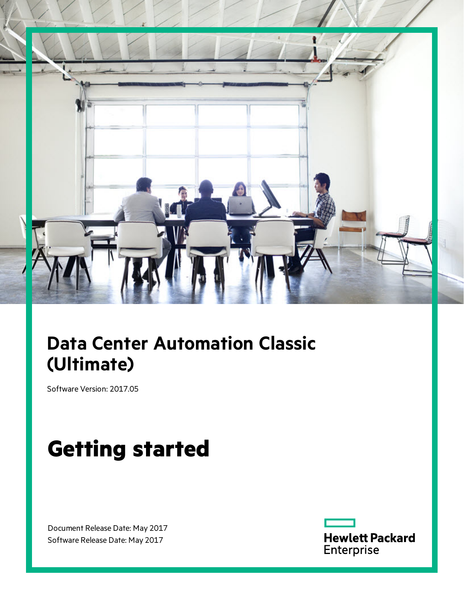

# **Data Center Automation Classic (Ultimate)**

Software Version: 2017.05

# **Getting started**

Document Release Date: May 2017 Software Release Date: May 2017

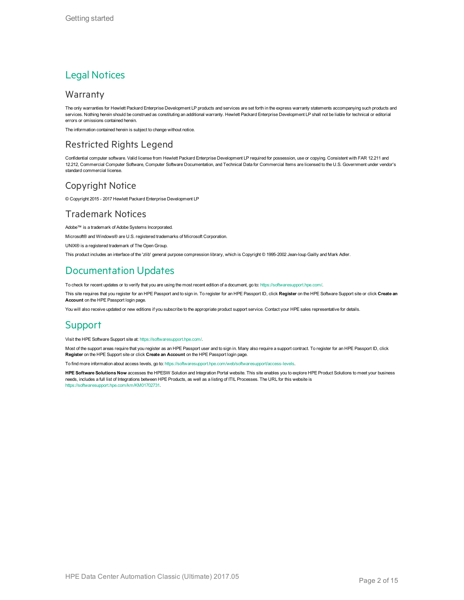#### Legal Notices

#### Warranty

The only warranties for Hewlett Packard Enterprise Development LP products and services are set forth in the express warranty statements accompanying such products and services. Nothing herein should be construed as constituting an additional warranty. Hewlett Packard Enterprise Development LP shall not be liable for technical or editorial errors or omissions contained herein.

The information contained herein is subject to change without notice.

#### Restricted Rights Legend

Confidential computer software. Valid license from Hewlett Packard Enterprise Development LP required for possession, use or copying. Consistent with FAR 12.211 and 12.212, Commercial Computer Software, Computer Software Documentation, and Technical Data for Commercial Items are licensed to the U.S. Government under vendor's standard commercial license.

#### Copyright Notice

© Copyright 2015 - 2017 Hewlett Packard Enterprise Development LP

#### Trademark Notices

Adobe™ is a trademark of Adobe Systems Incorporated.

Microsoft® and Windows® are U.S. registered trademarks of Microsoft Corporation.

UNIX® is a registered trademark of The Open Group.

This product includes an interface of the 'zlib' general purpose compression library, which is Copyright © 1995-2002 Jean-loup Gailly and Mark Adler.

#### Documentation Updates

To check for recent updates or to verify that you are using the most recent edition of a document, go to: <https://softwaresupport.hpe.com/>.

This site requires that you register for an HPE Passport and to sign in. To register for an HPE Passport ID, click **Register** on the HPE Software Support site or click **Create an Account** on the HPE Passport login page.

You will also receive updated or new editions if you subscribe to the appropriate product support service. Contact your HPE sales representative for details.

#### **Support**

Visit the HPE Software Support site at: <https://softwaresupport.hpe.com/>.

Most of the support areas require that you register as an HPE Passport user and to sign in. Many also require a support contract. To register for an HPE Passport ID, click **Register** on the HPE Support site or click **Create an Account** on the HPE Passport login page.

To find more information about access levels, go to: <https://softwaresupport.hpe.com/web/softwaresupport/access-levels>.

**HPE Software Solutions Now** accesses the HPESW Solution and Integration Portal website. This site enables you to explore HPE Product Solutions to meet your business needs, includes a full list of Integrations between HPE Products, as well as a listing of ITIL Processes. The URL for this website is [https://softwaresupport.hpe.com/km/KM01702731.](https://softwaresupport.hpe.com/km/KM01702731)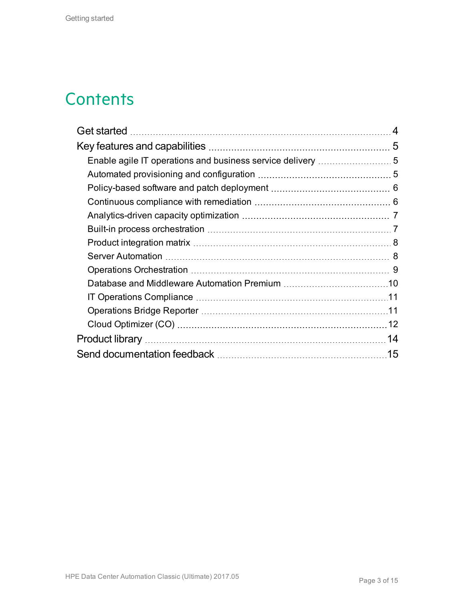## **Contents**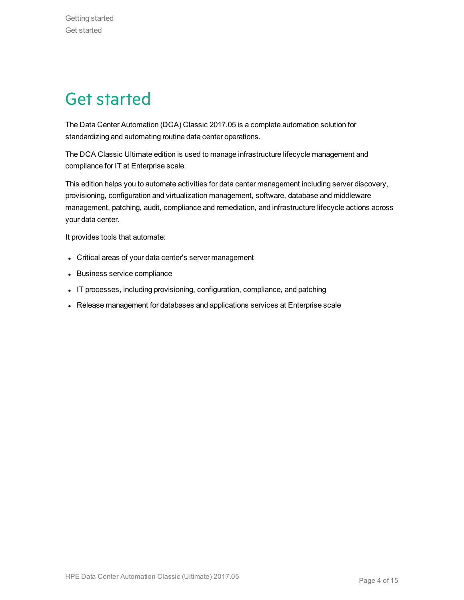# <span id="page-3-0"></span>Get started

The Data Center Automation (DCA) Classic 2017.05 is a complete automation solution for standardizing and automating routine data center operations.

The DCA Classic Ultimate edition is used to manage infrastructure lifecycle management and compliance for IT at Enterprise scale.

This edition helps you to automate activities for data center management including server discovery, provisioning, configuration and virtualization management, software, database and middleware management, patching, audit, compliance and remediation, and infrastructure lifecycle actions across your data center.

It provides tools that automate:

- Critical areas of your data center's server management
- Business service compliance
- IT processes, including provisioning, configuration, compliance, and patching
- Release management for databases and applications services at Enterprise scale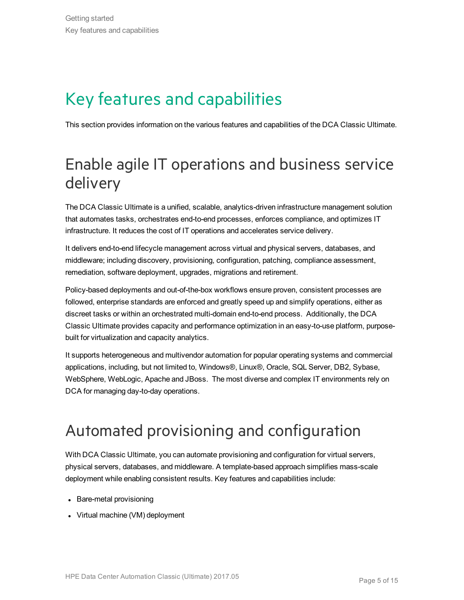# <span id="page-4-0"></span>Key features and capabilities

This section provides information on the various features and capabilities of the DCA Classic Ultimate.

## <span id="page-4-1"></span>Enable agile IT operations and business service delivery

The DCA Classic Ultimate is a unified, scalable, analytics-driven infrastructure management solution that automates tasks, orchestrates end-to-end processes, enforces compliance, and optimizes IT infrastructure. It reduces the cost of IT operations and accelerates service delivery.

It delivers end-to-end lifecycle management across virtual and physical servers, databases, and middleware; including discovery, provisioning, configuration, patching, compliance assessment, remediation, software deployment, upgrades, migrations and retirement.

Policy-based deployments and out-of-the-box workflows ensure proven, consistent processes are followed, enterprise standards are enforced and greatly speed up and simplify operations, either as discreet tasks or within an orchestrated multi-domain end-to-end process. Additionally, the DCA Classic Ultimate provides capacity and performance optimization in an easy-to-use platform, purposebuilt for virtualization and capacity analytics.

It supports heterogeneous and multivendor automation for popular operating systems and commercial applications, including, but not limited to, Windows®, Linux®, Oracle, SQL Server, DB2, Sybase, WebSphere, WebLogic, Apache and JBoss. The most diverse and complex IT environments rely on DCA for managing day-to-day operations.

## <span id="page-4-2"></span>Automated provisioning and configuration

With DCA Classic Ultimate, you can automate provisioning and configuration for virtual servers, physical servers, databases, and middleware. A template-based approach simplifies mass-scale deployment while enabling consistent results. Key features and capabilities include:

- Bare-metal provisioning
- $\bullet$  Virtual machine (VM) deployment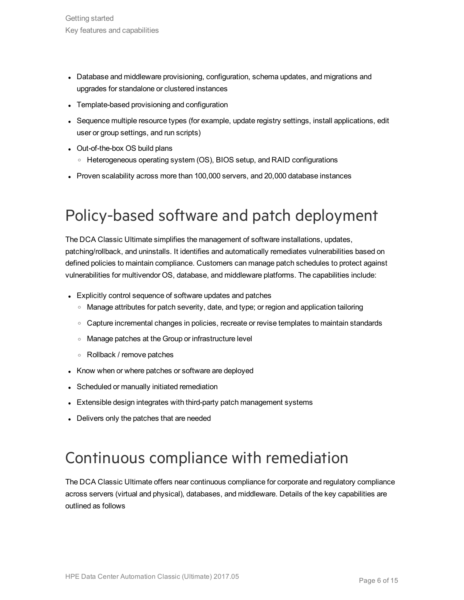- Database and middleware provisioning, configuration, schema updates, and migrations and upgrades for standalone or clustered instances
- Template-based provisioning and configuration
- Sequence multiple resource types (for example, update registry settings, install applications, edit user or group settings, and run scripts)
- Out-of-the-box OS build plans
	- <sup>o</sup> Heterogeneous operating system (OS), BIOS setup, and RAID configurations
- Proven scalability across more than 100,000 servers, and 20,000 database instances

## <span id="page-5-0"></span>Policy-based software and patch deployment

The DCA Classic Ultimate simplifies the management of software installations, updates, patching/rollback, and uninstalls. It identifies and automatically remediates vulnerabilities based on defined policies to maintain compliance. Customers can manage patch schedules to protect against vulnerabilities for multivendor OS, database, and middleware platforms. The capabilities include:

- Explicitly control sequence of software updates and patches
	- <sup>o</sup> Manage attributes for patch severity, date, and type; or region and application tailoring
	- Capture incremental changes in policies, recreate or revise templates to maintain standards
	- <sup>o</sup> Manage patches at the Group or infrastructure level
	- <sup>o</sup> Rollback / remove patches
- Know when or where patches or software are deployed
- Scheduled or manually initiated remediation
- Extensible design integrates with third-party patch management systems
- Delivers only the patches that are needed

### <span id="page-5-1"></span>Continuous compliance with remediation

The DCA Classic Ultimate offers near continuous compliance for corporate and regulatory compliance across servers (virtual and physical), databases, and middleware. Details of the key capabilities are outlined as follows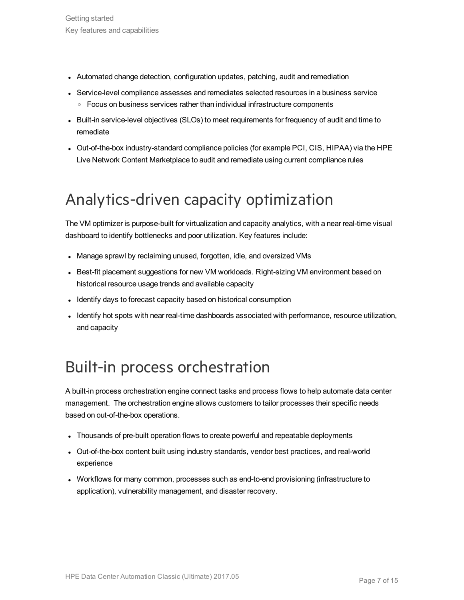- Automated change detection, configuration updates, patching, audit and remediation
- Service-level compliance assesses and remediates selected resources in a business service o Focus on business services rather than individual infrastructure components
- Built-in service-level objectives (SLOs) to meet requirements for frequency of audit and time to remediate
- Out-of-the-box industry-standard compliance policies (for example PCI, CIS, HIPAA) via the HPE Live Network Content Marketplace to audit and remediate using current compliance rules

## <span id="page-6-0"></span>Analytics-driven capacity optimization

The VM optimizer is purpose-built for virtualization and capacity analytics, with a near real-time visual dashboard to identify bottlenecks and poor utilization. Key features include:

- Manage sprawl by reclaiming unused, forgotten, idle, and oversized VMs
- Best-fit placement suggestions for new VM workloads. Right-sizing VM environment based on historical resource usage trends and available capacity
- Identify days to forecast capacity based on historical consumption
- Identify hot spots with near real-time dashboards associated with performance, resource utilization, and capacity

### <span id="page-6-1"></span>Built-in process orchestration

A built-in process orchestration engine connect tasks and process flows to help automate data center management. The orchestration engine allows customers to tailor processes their specific needs based on out-of-the-box operations.

- Thousands of pre-built operation flows to create powerful and repeatable deployments
- Out-of-the-box content built using industry standards, vendor best practices, and real-world experience
- Workflows for many common, processes such as end-to-end provisioning (infrastructure to application), vulnerability management, and disaster recovery.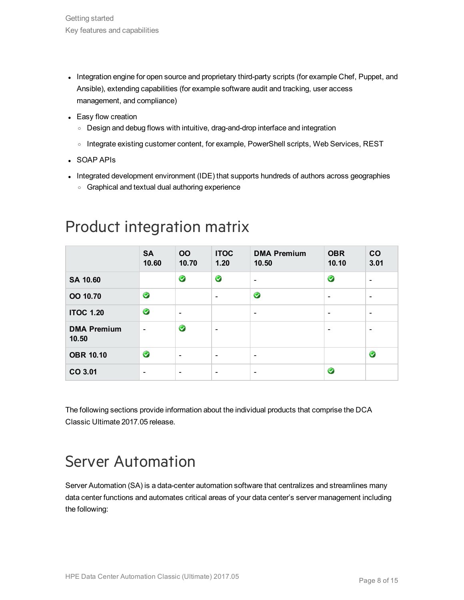- Integration engine for open source and proprietary third-party scripts (for example Chef, Puppet, and Ansible), extending capabilities (for example software audit and tracking, user access management, and compliance)
- Easy flow creation
	- Design and debug flows with intuitive, drag-and-drop interface and integration
	- o Integrate existing customer content, for example, PowerShell scripts, Web Services, REST
- SOAP APIs
- Integrated development environment (IDE) that supports hundreds of authors across geographies
	- <sup>o</sup> Graphical and textual dual authoring experience

|                             | <b>SA</b><br>10.60       | <b>OO</b><br>10.70       | <b>ITOC</b><br>1.20      | <b>DMA Premium</b><br>10.50 | <b>OBR</b><br>10.10          | CO<br>3.01               |
|-----------------------------|--------------------------|--------------------------|--------------------------|-----------------------------|------------------------------|--------------------------|
| <b>SA 10.60</b>             |                          | $\bullet$                | $\bullet$                | $\overline{\phantom{a}}$    | $\bullet$                    | $\qquad \qquad$          |
| OO 10.70                    | $\bullet$                |                          | $\overline{\phantom{a}}$ | $\bullet$                   | $\overline{\phantom{0}}$     | $\overline{\phantom{a}}$ |
| <b>ITOC 1.20</b>            | $\bullet$                | $\overline{\phantom{a}}$ |                          | $\overline{\phantom{a}}$    | $\qquad \qquad \blacksquare$ | $\overline{\phantom{a}}$ |
| <b>DMA Premium</b><br>10.50 | $\overline{\phantom{a}}$ | $\bullet$                | $\overline{\phantom{a}}$ |                             | $\overline{\phantom{0}}$     | $\qquad \qquad$          |
| <b>OBR 10.10</b>            | $\bullet$                | $\overline{\phantom{a}}$ | $\overline{\phantom{a}}$ | $\overline{\phantom{a}}$    |                              | $\bullet$                |
| CO 3.01                     | $\overline{\phantom{a}}$ | $\overline{\phantom{a}}$ | $\overline{\phantom{a}}$ | $\overline{\phantom{a}}$    | $\bullet$                    |                          |

### <span id="page-7-0"></span>Product integration matrix

The following sections provide information about the individual products that comprise the DCA Classic Ultimate 2017.05 release.

### <span id="page-7-1"></span>Server Automation

Server Automation (SA) is a data-center automation software that centralizes and streamlines many data center functions and automates critical areas of your data center's server management including the following: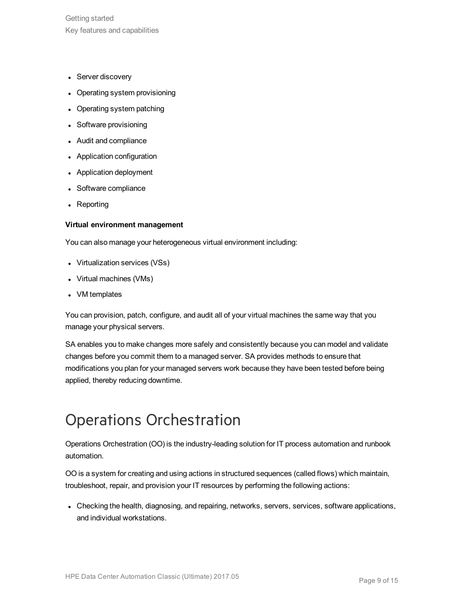- Server discovery
- Operating system provisioning
- Operating system patching
- Software provisioning
- Audit and compliance
- Application configuration
- Application deployment
- Software compliance
- Reporting

#### **Virtual environment management**

You can also manage your heterogeneous virtual environment including:

- Virtualization services (VSs)
- Virtual machines (VMs)
- VM templates

You can provision, patch, configure, and audit all of your virtual machines the same way that you manage your physical servers.

SA enables you to make changes more safely and consistently because you can model and validate changes before you commit them to a managed server. SA provides methods to ensure that modifications you plan for your managed servers work because they have been tested before being applied, thereby reducing downtime.

### <span id="page-8-0"></span>Operations Orchestration

Operations Orchestration (OO) is the industry-leading solution for IT process automation and runbook automation.

OO is a system for creating and using actions in structured sequences (called flows) which maintain, troubleshoot, repair, and provision your IT resources by performing the following actions:

• Checking the health, diagnosing, and repairing, networks, servers, services, software applications, and individual workstations.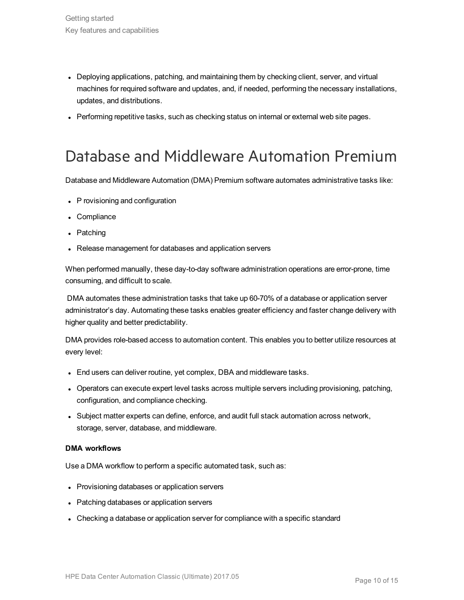- Deploying applications, patching, and maintaining them by checking client, server, and virtual machines for required software and updates, and, if needed, performing the necessary installations, updates, and distributions.
- Performing repetitive tasks, such as checking status on internal or external web site pages.

#### <span id="page-9-0"></span>Database and Middleware Automation Premium

Database and Middleware Automation (DMA) Premium software automates administrative tasks like:

- P rovisioning and configuration
- Compliance
- Patching
- Release management for databases and application servers

When performed manually, these day-to-day software administration operations are error-prone, time consuming, and difficult to scale.

DMA automates these administration tasks that take up 60-70% of a database or application server administrator's day. Automating these tasks enables greater efficiency and faster change delivery with higher quality and better predictability.

DMA provides role-based access to automation content. This enables you to better utilize resources at every level:

- End users can deliver routine, yet complex, DBA and middleware tasks.
- Operators can execute expert level tasks across multiple servers including provisioning, patching, configuration, and compliance checking.
- <sup>l</sup> Subject matter experts can define, enforce, and audit full stack automation across network, storage, server, database, and middleware.

#### **DMA workflows**

Use a DMA workflow to perform a specific automated task, such as:

- Provisioning databases or application servers
- Patching databases or application servers
- Checking a database or application server for compliance with a specific standard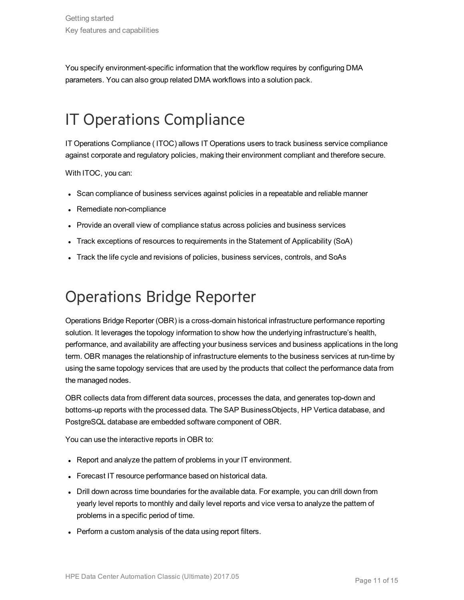You specify environment-specific information that the workflow requires by configuring DMA parameters. You can also group related DMA workflows into a solution pack.

## <span id="page-10-0"></span>IT Operations Compliance

IT Operations Compliance ( ITOC) allows IT Operations users to track business service compliance against corporate and regulatory policies, making their environment compliant and therefore secure.

With ITOC, you can:

- Scan compliance of business services against policies in a repeatable and reliable manner
- Remediate non-compliance
- Provide an overall view of compliance status across policies and business services
- Track exceptions of resources to requirements in the Statement of Applicability (SoA)
- Track the life cycle and revisions of policies, business services, controls, and SoAs

## <span id="page-10-1"></span>Operations Bridge Reporter

Operations Bridge Reporter (OBR) is a cross-domain historical infrastructure performance reporting solution. It leverages the topology information to show how the underlying infrastructure's health, performance, and availability are affecting your business services and business applications in the long term. OBR manages the relationship of infrastructure elements to the business services at run-time by using the same topology services that are used by the products that collect the performance data from the managed nodes.

OBR collects data from different data sources, processes the data, and generates top-down and bottoms-up reports with the processed data. The SAP BusinessObjects, HP Vertica database, and PostgreSQL database are embedded software component of OBR.

You can use the interactive reports in OBR to:

- Report and analyze the pattern of problems in your IT environment.
- Forecast IT resource performance based on historical data.
- Drill down across time boundaries for the available data. For example, you can drill down from yearly level reports to monthly and daily level reports and vice versa to analyze the pattern of problems in a specific period of time.
- Perform a custom analysis of the data using report filters.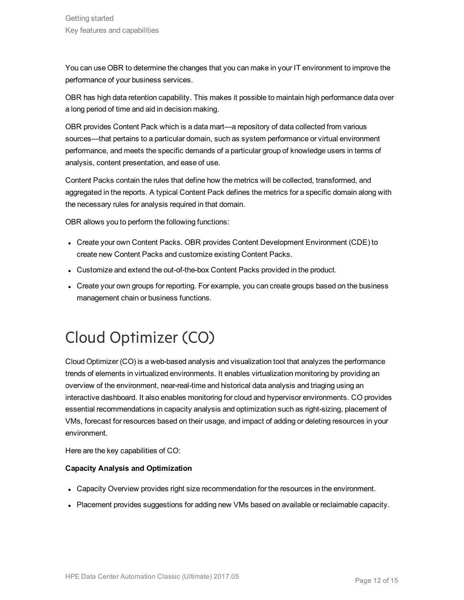You can use OBR to determine the changes that you can make in your IT environment to improve the performance of your business services.

OBR has high data retention capability. This makes it possible to maintain high performance data over a long period of time and aid in decision making.

OBR provides Content Pack which is a data mart—a repository of data collected from various sources—that pertains to a particular domain, such as system performance or virtual environment performance, and meets the specific demands of a particular group of knowledge users in terms of analysis, content presentation, and ease of use.

Content Packs contain the rules that define how the metrics will be collected, transformed, and aggregated in the reports. A typical Content Pack defines the metrics for a specific domain along with the necessary rules for analysis required in that domain.

OBR allows you to perform the following functions:

- Create your own Content Packs. OBR provides Content Development Environment (CDE) to create new Content Packs and customize existing Content Packs.
- Customize and extend the out-of-the-box Content Packs provided in the product.
- Create your own groups for reporting. For example, you can create groups based on the business management chain or business functions.

## <span id="page-11-0"></span>Cloud Optimizer (CO)

Cloud Optimizer (CO) is a web-based analysis and visualization tool that analyzes the performance trends of elements in virtualized environments. It enables virtualization monitoring by providing an overview of the environment, near-real-time and historical data analysis and triaging using an interactive dashboard. It also enables monitoring for cloud and hypervisor environments. CO provides essential recommendations in capacity analysis and optimization such as right-sizing, placement of VMs, forecast for resources based on their usage, and impact of adding or deleting resources in your environment.

Here are the key capabilities of CO:

#### **Capacity Analysis and Optimization**

- Capacity Overview provides right size recommendation for the resources in the environment.
- Placement provides suggestions for adding new VMs based on available or reclaimable capacity.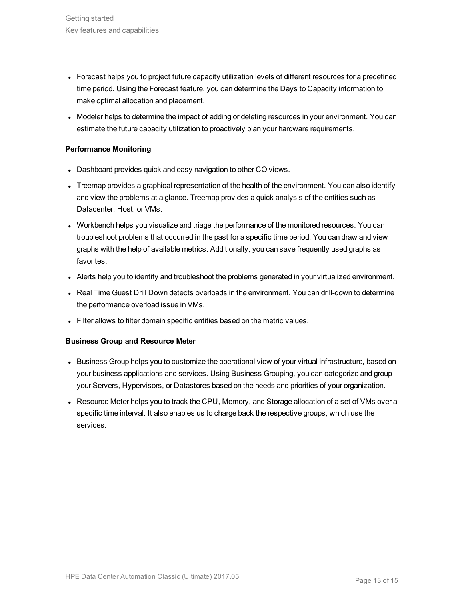- Forecast helps you to project future capacity utilization levels of different resources for a predefined time period. Using the Forecast feature, you can determine the Days to Capacity information to make optimal allocation and placement.
- Modeler helps to determine the impact of adding or deleting resources in your environment. You can estimate the future capacity utilization to proactively plan your hardware requirements.

#### **Performance Monitoring**

- Dashboard provides quick and easy navigation to other CO views.
- Treemap provides a graphical representation of the health of the environment. You can also identify and view the problems at a glance. Treemap provides a quick analysis of the entities such as Datacenter, Host, or VMs.
- Workbench helps you visualize and triage the performance of the monitored resources. You can troubleshoot problems that occurred in the past for a specific time period. You can draw and view graphs with the help of available metrics. Additionally, you can save frequently used graphs as favorites.
- Alerts help you to identify and troubleshoot the problems generated in your virtualized environment.
- Real Time Guest Drill Down detects overloads in the environment. You can drill-down to determine the performance overload issue in VMs.
- Filter allows to filter domain specific entities based on the metric values.

#### **Business Group and Resource Meter**

- Business Group helps you to customize the operational view of your virtual infrastructure, based on your business applications and services. Using Business Grouping, you can categorize and group your Servers, Hypervisors, or Datastores based on the needs and priorities of your organization.
- Resource Meter helps you to track the CPU, Memory, and Storage allocation of a set of VMs over a specific time interval. It also enables us to charge back the respective groups, which use the services.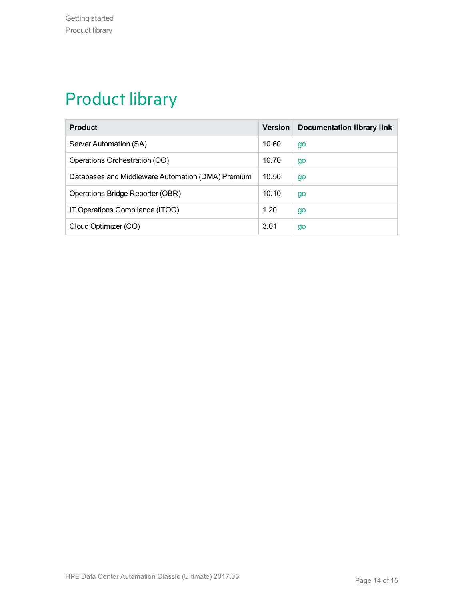# <span id="page-13-0"></span>Product library

| <b>Product</b>                                    | <b>Version</b> | Documentation library link |
|---------------------------------------------------|----------------|----------------------------|
| Server Automation (SA)                            | 10.60          | go                         |
| Operations Orchestration (OO)                     | 10.70          | go                         |
| Databases and Middleware Automation (DMA) Premium | 10.50          | go                         |
| Operations Bridge Reporter (OBR)                  | 10.10          | go                         |
| IT Operations Compliance (ITOC)                   | 1.20           | go                         |
| Cloud Optimizer (CO)                              | 3.01           | go                         |